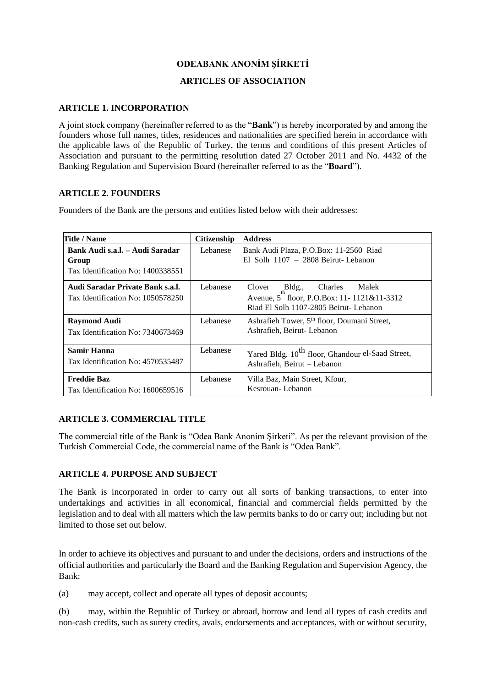# **ODEABANK ANONİM ŞİRKETİ**

# **ARTICLES OF ASSOCIATION**

### **ARTICLE 1. INCORPORATION**

A joint stock company (hereinafter referred to as the "**Bank**") is hereby incorporated by and among the founders whose full names, titles, residences and nationalities are specified herein in accordance with the applicable laws of the Republic of Turkey, the terms and conditions of this present Articles of Association and pursuant to the permitting resolution dated 27 October 2011 and No. 4432 of the Banking Regulation and Supervision Board (hereinafter referred to as the "**Board**").

### **ARTICLE 2. FOUNDERS**

Founders of the Bank are the persons and entities listed below with their addresses:

| Title / Name                                                                  | <b>Citizenship</b> | <b>Address</b>                                                                                                              |  |
|-------------------------------------------------------------------------------|--------------------|-----------------------------------------------------------------------------------------------------------------------------|--|
| Bank Audi s.a.l. – Audi Saradar<br>Group<br>Tax Identification No: 1400338551 | Lebanese           | Bank Audi Plaza, P.O.Box: 11-2560 Riad<br>$El$ Solh $1107 - 2808$ Beirut-Lebanon                                            |  |
| Audi Saradar Private Bank s.a.l.<br>Tax Identification No: 1050578250         | Lebanese           | Bldg.,<br>Clover<br>Charles<br>Malek<br>Avenue, 5 floor, P.O.Box: 11-1121&11-3312<br>Riad El Solh 1107-2805 Beirut- Lebanon |  |
| <b>Raymond Audi</b><br>Tax Identification No: 7340673469                      | Lebanese           | Ashrafieh Tower, 5 <sup>th</sup> floor, Doumani Street,<br>Ashrafieh, Beirut-Lebanon                                        |  |
| Samir Hanna<br>Tax Identification No: 4570535487                              | Lebanese           | Yared Bldg. 10 <sup>th</sup> floor, Ghandour el-Saad Street,<br>Ashrafieh, Beirut – Lebanon                                 |  |
| <b>Freddie Baz</b><br>Tax Identification No: 1600659516                       | Lebanese           | Villa Baz, Main Street, Kfour,<br>Kesrouan-Lebanon                                                                          |  |

# **ARTICLE 3. COMMERCIAL TITLE**

The commercial title of the Bank is "Odea Bank Anonim Şirketi". As per the relevant provision of the Turkish Commercial Code, the commercial name of the Bank is "Odea Bank".

# **ARTICLE 4. PURPOSE AND SUBJECT**

The Bank is incorporated in order to carry out all sorts of banking transactions, to enter into undertakings and activities in all economical, financial and commercial fields permitted by the legislation and to deal with all matters which the law permits banks to do or carry out; including but not limited to those set out below.

In order to achieve its objectives and pursuant to and under the decisions, orders and instructions of the official authorities and particularly the Board and the Banking Regulation and Supervision Agency, the Bank:

(a) may accept, collect and operate all types of deposit accounts;

(b) may, within the Republic of Turkey or abroad, borrow and lend all types of cash credits and non-cash credits, such as surety credits, avals, endorsements and acceptances, with or without security,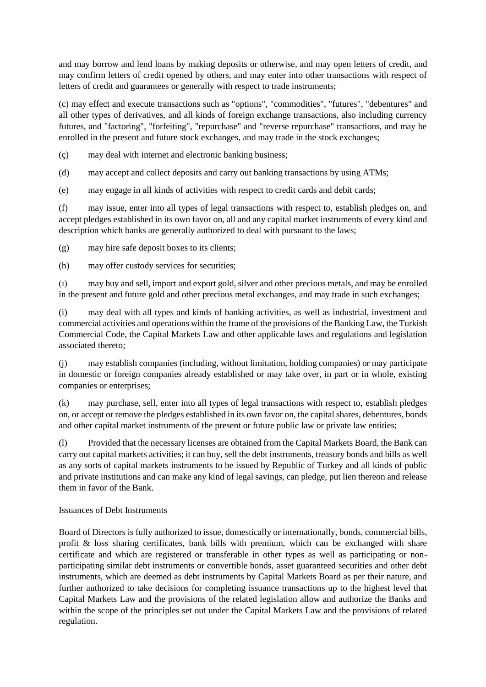and may borrow and lend loans by making deposits or otherwise, and may open letters of credit, and may confirm letters of credit opened by others, and may enter into other transactions with respect of letters of credit and guarantees or generally with respect to trade instruments;

(c) may effect and execute transactions such as "options", "commodities", "futures", "debentures" and all other types of derivatives, and all kinds of foreign exchange transactions, also including currency futures, and "factoring", "forfeiting", "repurchase" and "reverse repurchase" transactions, and may be enrolled in the present and future stock exchanges, and may trade in the stock exchanges;

(ç) may deal with internet and electronic banking business;

(d) may accept and collect deposits and carry out banking transactions by using ATMs;

(e) may engage in all kinds of activities with respect to credit cards and debit cards;

(f) may issue, enter into all types of legal transactions with respect to, establish pledges on, and accept pledges established in its own favor on, all and any capital market instruments of every kind and description which banks are generally authorized to deal with pursuant to the laws;

(g) may hire safe deposit boxes to its clients;

(h) may offer custody services for securities;

(ı) may buy and sell, import and export gold, silver and other precious metals, and may be enrolled in the present and future gold and other precious metal exchanges, and may trade in such exchanges;

(i) may deal with all types and kinds of banking activities, as well as industrial, investment and commercial activities and operations within the frame of the provisions of the Banking Law, the Turkish Commercial Code, the Capital Markets Law and other applicable laws and regulations and legislation associated thereto;

(j) may establish companies (including, without limitation, holding companies) or may participate in domestic or foreign companies already established or may take over, in part or in whole, existing companies or enterprises;

(k) may purchase, sell, enter into all types of legal transactions with respect to, establish pledges on, or accept or remove the pledges established in its own favor on, the capital shares, debentures, bonds and other capital market instruments of the present or future public law or private law entities;

(l) Provided that the necessary licenses are obtained from the Capital Markets Board, the Bank can carry out capital markets activities; it can buy, sell the debt instruments, treasury bonds and bills as well as any sorts of capital markets instruments to be issued by Republic of Turkey and all kinds of public and private institutions and can make any kind of legal savings, can pledge, put lien thereon and release them in favor of the Bank.

### Issuances of Debt Instruments

Board of Directors is fully authorized to issue, domestically or internationally, bonds, commercial bills, profit & loss sharing certificates, bank bills with premium, which can be exchanged with share certificate and which are registered or transferable in other types as well as participating or nonparticipating similar debt instruments or convertible bonds, asset guaranteed securities and other debt instruments, which are deemed as debt instruments by Capital Markets Board as per their nature, and further authorized to take decisions for completing issuance transactions up to the highest level that Capital Markets Law and the provisions of the related legislation allow and authorize the Banks and within the scope of the principles set out under the Capital Markets Law and the provisions of related regulation.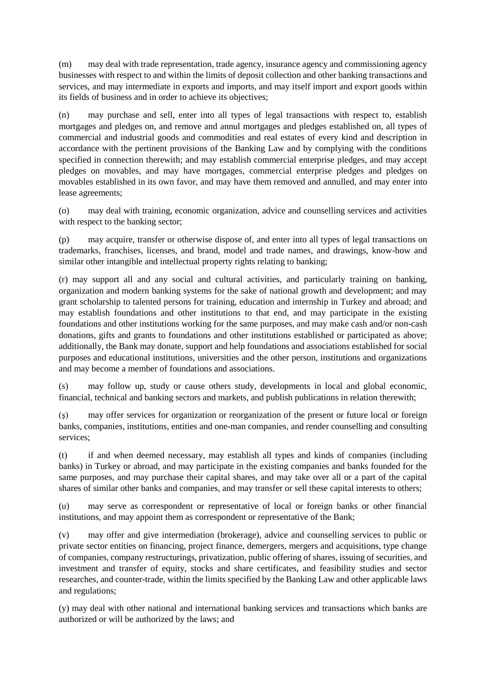(m) may deal with trade representation, trade agency, insurance agency and commissioning agency businesses with respect to and within the limits of deposit collection and other banking transactions and services, and may intermediate in exports and imports, and may itself import and export goods within its fields of business and in order to achieve its objectives;

(n) may purchase and sell, enter into all types of legal transactions with respect to, establish mortgages and pledges on, and remove and annul mortgages and pledges established on, all types of commercial and industrial goods and commodities and real estates of every kind and description in accordance with the pertinent provisions of the Banking Law and by complying with the conditions specified in connection therewith; and may establish commercial enterprise pledges, and may accept pledges on movables, and may have mortgages, commercial enterprise pledges and pledges on movables established in its own favor, and may have them removed and annulled, and may enter into lease agreements;

(o) may deal with training, economic organization, advice and counselling services and activities with respect to the banking sector:

(p) may acquire, transfer or otherwise dispose of, and enter into all types of legal transactions on trademarks, franchises, licenses, and brand, model and trade names, and drawings, know-how and similar other intangible and intellectual property rights relating to banking;

(r) may support all and any social and cultural activities, and particularly training on banking, organization and modern banking systems for the sake of national growth and development; and may grant scholarship to talented persons for training, education and internship in Turkey and abroad; and may establish foundations and other institutions to that end, and may participate in the existing foundations and other institutions working for the same purposes, and may make cash and/or non-cash donations, gifts and grants to foundations and other institutions established or participated as above; additionally, the Bank may donate, support and help foundations and associations established for social purposes and educational institutions, universities and the other person, institutions and organizations and may become a member of foundations and associations.

(s) may follow up, study or cause others study, developments in local and global economic, financial, technical and banking sectors and markets, and publish publications in relation therewith;

(ş) may offer services for organization or reorganization of the present or future local or foreign banks, companies, institutions, entities and one-man companies, and render counselling and consulting services;

(t) if and when deemed necessary, may establish all types and kinds of companies (including banks) in Turkey or abroad, and may participate in the existing companies and banks founded for the same purposes, and may purchase their capital shares, and may take over all or a part of the capital shares of similar other banks and companies, and may transfer or sell these capital interests to others;

(u) may serve as correspondent or representative of local or foreign banks or other financial institutions, and may appoint them as correspondent or representative of the Bank;

(v) may offer and give intermediation (brokerage), advice and counselling services to public or private sector entities on financing, project finance, demergers, mergers and acquisitions, type change of companies, company restructurings, privatization, public offering of shares, issuing of securities, and investment and transfer of equity, stocks and share certificates, and feasibility studies and sector researches, and counter-trade, within the limits specified by the Banking Law and other applicable laws and regulations;

(y) may deal with other national and international banking services and transactions which banks are authorized or will be authorized by the laws; and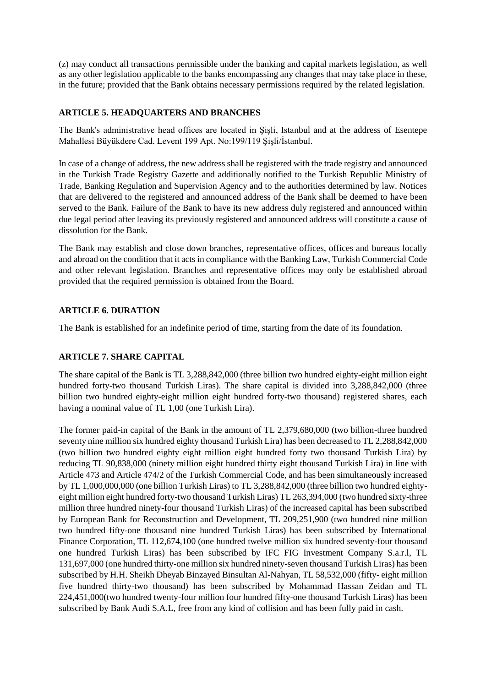(z) may conduct all transactions permissible under the banking and capital markets legislation, as well as any other legislation applicable to the banks encompassing any changes that may take place in these, in the future; provided that the Bank obtains necessary permissions required by the related legislation.

# **ARTICLE 5. HEADQUARTERS AND BRANCHES**

The Bank's administrative head offices are located in Şişli, Istanbul and at the address of Esentepe Mahallesi Büyükdere Cad. Levent 199 Apt. No:199/119 Şişli/İstanbul.

In case of a change of address, the new address shall be registered with the trade registry and announced in the Turkish Trade Registry Gazette and additionally notified to the Turkish Republic Ministry of Trade, Banking Regulation and Supervision Agency and to the authorities determined by law. Notices that are delivered to the registered and announced address of the Bank shall be deemed to have been served to the Bank. Failure of the Bank to have its new address duly registered and announced within due legal period after leaving its previously registered and announced address will constitute a cause of dissolution for the Bank.

The Bank may establish and close down branches, representative offices, offices and bureaus locally and abroad on the condition that it acts in compliance with the Banking Law, Turkish Commercial Code and other relevant legislation. Branches and representative offices may only be established abroad provided that the required permission is obtained from the Board.

# **ARTICLE 6. DURATION**

The Bank is established for an indefinite period of time, starting from the date of its foundation.

# **ARTICLE 7. SHARE CAPITAL**

The share capital of the Bank is TL 3,288,842,000 (three billion two hundred eighty-eight million eight hundred forty-two thousand Turkish Liras). The share capital is divided into 3,288,842,000 (three billion two hundred eighty-eight million eight hundred forty-two thousand) registered shares, each having a nominal value of TL 1,00 (one Turkish Lira).

The former paid-in capital of the Bank in the amount of TL 2,379,680,000 (two billion-three hundred seventy nine million six hundred eighty thousand Turkish Lira) has been decreased to TL 2,288,842,000 (two billion two hundred eighty eight million eight hundred forty two thousand Turkish Lira) by reducing TL 90,838,000 (ninety million eight hundred thirty eight thousand Turkish Lira) in line with Article 473 and Article 474/2 of the Turkish Commercial Code, and has been simultaneously increased by TL 1,000,000,000 (one billion Turkish Liras) to TL 3,288,842,000 (three billion two hundred eightyeight million eight hundred forty-two thousand Turkish Liras) TL 263,394,000 (two hundred sixty-three million three hundred ninety-four thousand Turkish Liras) of the increased capital has been subscribed by European Bank for Reconstruction and Development, TL 209,251,900 (two hundred nine million two hundred fifty-one thousand nine hundred Turkish Liras) has been subscribed by International Finance Corporation, TL 112,674,100 (one hundred twelve million six hundred seventy-four thousand one hundred Turkish Liras) has been subscribed by IFC FIG Investment Company S.a.r.l, TL 131,697,000 (one hundred thirty-one million six hundred ninety-seven thousand Turkish Liras) has been subscribed by H.H. Sheikh Dheyab Binzayed Binsultan Al-Nahyan, TL 58,532,000 (fifty- eight million five hundred thirty-two thousand) has been subscribed by Mohammad Hassan Zeidan and TL 224,451,000(two hundred twenty-four million four hundred fifty-one thousand Turkish Liras) has been subscribed by Bank Audi S.A.L, free from any kind of collision and has been fully paid in cash.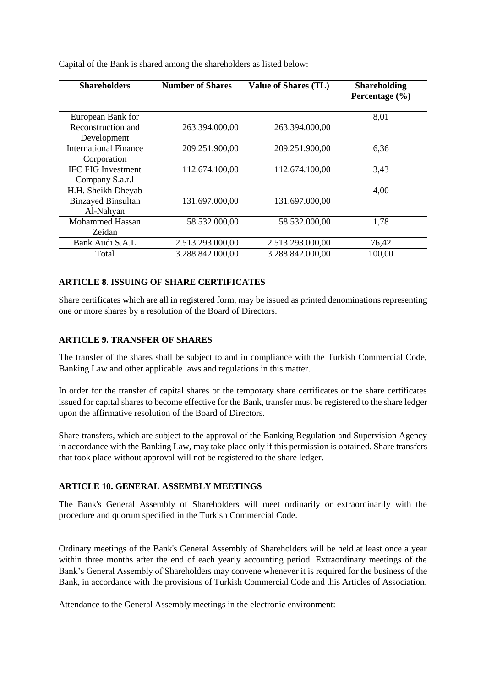| <b>Shareholders</b>          | <b>Number of Shares</b> | <b>Value of Shares (TL)</b> | <b>Shareholding</b><br>Percentage $(\% )$ |
|------------------------------|-------------------------|-----------------------------|-------------------------------------------|
| European Bank for            |                         |                             | 8,01                                      |
| Reconstruction and           | 263.394.000,00          | 263.394.000,00              |                                           |
| Development                  |                         |                             |                                           |
| <b>International Finance</b> | 209.251.900,00          | 209.251.900,00              | 6,36                                      |
| Corporation                  |                         |                             |                                           |
| <b>IFC FIG Investment</b>    | 112.674.100,00          | 112.674.100,00              | 3,43                                      |
| Company S.a.r.1              |                         |                             |                                           |
| H.H. Sheikh Dheyab           |                         |                             | 4,00                                      |
| <b>Binzayed Binsultan</b>    | 131.697.000,00          | 131.697.000,00              |                                           |
| Al-Nahyan                    |                         |                             |                                           |
| <b>Mohammed Hassan</b>       | 58.532.000,00           | 58.532.000,00               | 1,78                                      |
| Zeidan                       |                         |                             |                                           |
| Bank Audi S.A.L              | 2.513.293.000,00        | 2.513.293.000,00            | 76,42                                     |
| Total                        | 3.288.842.000,00        | 3.288.842.000,00            | 100,00                                    |

Capital of the Bank is shared among the shareholders as listed below:

# **ARTICLE 8. ISSUING OF SHARE CERTIFICATES**

Share certificates which are all in registered form, may be issued as printed denominations representing one or more shares by a resolution of the Board of Directors.

### **ARTICLE 9. TRANSFER OF SHARES**

The transfer of the shares shall be subject to and in compliance with the Turkish Commercial Code, Banking Law and other applicable laws and regulations in this matter.

In order for the transfer of capital shares or the temporary share certificates or the share certificates issued for capital shares to become effective for the Bank, transfer must be registered to the share ledger upon the affirmative resolution of the Board of Directors.

Share transfers, which are subject to the approval of the Banking Regulation and Supervision Agency in accordance with the Banking Law, may take place only if this permission is obtained. Share transfers that took place without approval will not be registered to the share ledger.

### **ARTICLE 10. GENERAL ASSEMBLY MEETINGS**

The Bank's General Assembly of Shareholders will meet ordinarily or extraordinarily with the procedure and quorum specified in the Turkish Commercial Code.

Ordinary meetings of the Bank's General Assembly of Shareholders will be held at least once a year within three months after the end of each yearly accounting period. Extraordinary meetings of the Bank's General Assembly of Shareholders may convene whenever it is required for the business of the Bank, in accordance with the provisions of Turkish Commercial Code and this Articles of Association.

Attendance to the General Assembly meetings in the electronic environment: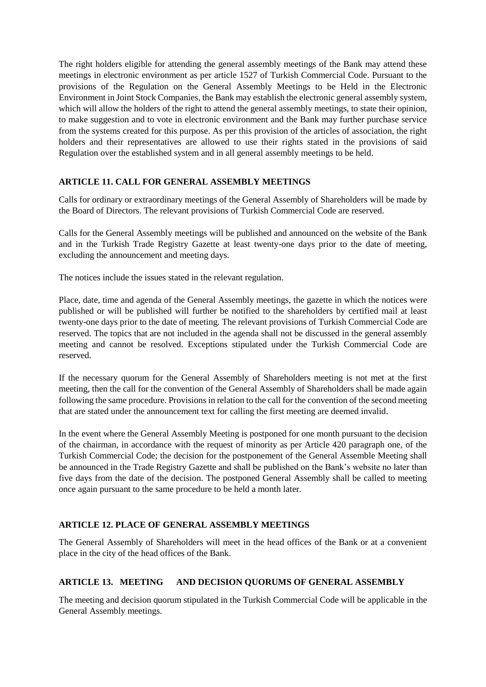The right holders eligible for attending the general assembly meetings of the Bank may attend these meetings in electronic environment as per article 1527 of Turkish Commercial Code. Pursuant to the provisions of the Regulation on the General Assembly Meetings to be Held in the Electronic Environment in Joint Stock Companies, the Bank may establish the electronic general assembly system, which will allow the holders of the right to attend the general assembly meetings, to state their opinion, to make suggestion and to vote in electronic environment and the Bank may further purchase service from the systems created for this purpose. As per this provision of the articles of association, the right holders and their representatives are allowed to use their rights stated in the provisions of said Regulation over the established system and in all general assembly meetings to be held.

# **ARTICLE 11. CALL FOR GENERAL ASSEMBLY MEETINGS**

Calls for ordinary or extraordinary meetings of the General Assembly of Shareholders will be made by the Board of Directors. The relevant provisions of Turkish Commercial Code are reserved.

Calls for the General Assembly meetings will be published and announced on the website of the Bank and in the Turkish Trade Registry Gazette at least twenty-one days prior to the date of meeting, excluding the announcement and meeting days.

The notices include the issues stated in the relevant regulation.

Place, date, time and agenda of the General Assembly meetings, the gazette in which the notices were published or will be published will further be notified to the shareholders by certified mail at least twenty-one days prior to the date of meeting. The relevant provisions of Turkish Commercial Code are reserved. The topics that are not included in the agenda shall not be discussed in the general assembly meeting and cannot be resolved. Exceptions stipulated under the Turkish Commercial Code are reserved.

If the necessary quorum for the General Assembly of Shareholders meeting is not met at the first meeting, then the call for the convention of the General Assembly of Shareholders shall be made again following the same procedure. Provisions in relation to the call for the convention of the second meeting that are stated under the announcement text for calling the first meeting are deemed invalid.

In the event where the General Assembly Meeting is postponed for one month pursuant to the decision of the chairman, in accordance with the request of minority as per Article 420 paragraph one, of the Turkish Commercial Code; the decision for the postponement of the General Assemble Meeting shall be announced in the Trade Registry Gazette and shall be published on the Bank's website no later than five days from the date of the decision. The postponed General Assembly shall be called to meeting once again pursuant to the same procedure to be held a month later.

# **ARTICLE 12. PLACE OF GENERAL ASSEMBLY MEETINGS**

The General Assembly of Shareholders will meet in the head offices of the Bank or at a convenient place in the city of the head offices of the Bank.

# **ARTICLE 13. MEETING AND DECISION QUORUMS OF GENERAL ASSEMBLY**

The meeting and decision quorum stipulated in the Turkish Commercial Code will be applicable in the General Assembly meetings.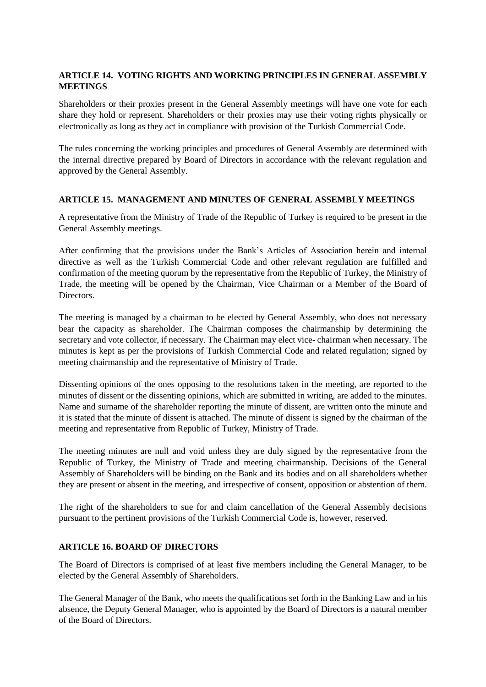# **ARTICLE 14. VOTING RIGHTS AND WORKING PRINCIPLES IN GENERAL ASSEMBLY MEETINGS**

Shareholders or their proxies present in the General Assembly meetings will have one vote for each share they hold or represent. Shareholders or their proxies may use their voting rights physically or electronically as long as they act in compliance with provision of the Turkish Commercial Code.

The rules concerning the working principles and procedures of General Assembly are determined with the internal directive prepared by Board of Directors in accordance with the relevant regulation and approved by the General Assembly.

### **ARTICLE 15. MANAGEMENT AND MINUTES OF GENERAL ASSEMBLY MEETINGS**

A representative from the Ministry of Trade of the Republic of Turkey is required to be present in the General Assembly meetings.

After confirming that the provisions under the Bank's Articles of Association herein and internal directive as well as the Turkish Commercial Code and other relevant regulation are fulfilled and confirmation of the meeting quorum by the representative from the Republic of Turkey, the Ministry of Trade, the meeting will be opened by the Chairman, Vice Chairman or a Member of the Board of Directors.

The meeting is managed by a chairman to be elected by General Assembly, who does not necessary bear the capacity as shareholder. The Chairman composes the chairmanship by determining the secretary and vote collector, if necessary. The Chairman may elect vice- chairman when necessary. The minutes is kept as per the provisions of Turkish Commercial Code and related regulation; signed by meeting chairmanship and the representative of Ministry of Trade.

Dissenting opinions of the ones opposing to the resolutions taken in the meeting, are reported to the minutes of dissent or the dissenting opinions, which are submitted in writing, are added to the minutes. Name and surname of the shareholder reporting the minute of dissent, are written onto the minute and it is stated that the minute of dissent is attached. The minute of dissent is signed by the chairman of the meeting and representative from Republic of Turkey, Ministry of Trade.

The meeting minutes are null and void unless they are duly signed by the representative from the Republic of Turkey, the Ministry of Trade and meeting chairmanship. Decisions of the General Assembly of Shareholders will be binding on the Bank and its bodies and on all shareholders whether they are present or absent in the meeting, and irrespective of consent, opposition or abstention of them.

The right of the shareholders to sue for and claim cancellation of the General Assembly decisions pursuant to the pertinent provisions of the Turkish Commercial Code is, however, reserved.

### **ARTICLE 16. BOARD OF DIRECTORS**

The Board of Directors is comprised of at least five members including the General Manager, to be elected by the General Assembly of Shareholders.

The General Manager of the Bank, who meets the qualifications set forth in the Banking Law and in his absence, the Deputy General Manager, who is appointed by the Board of Directors is a natural member of the Board of Directors.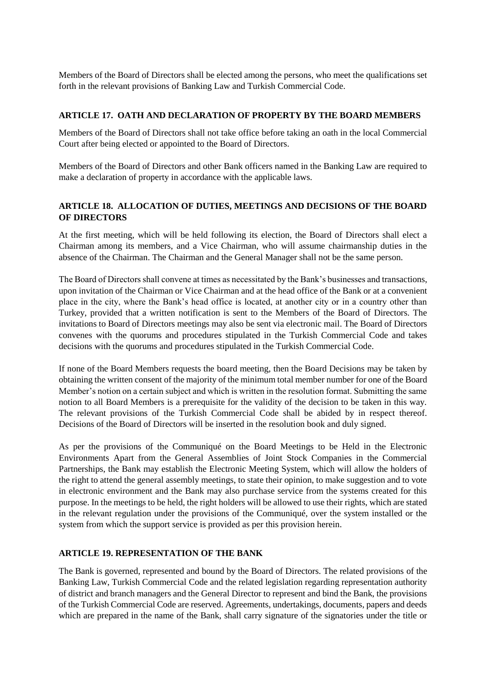Members of the Board of Directors shall be elected among the persons, who meet the qualifications set forth in the relevant provisions of Banking Law and Turkish Commercial Code.

## **ARTICLE 17. OATH AND DECLARATION OF PROPERTY BY THE BOARD MEMBERS**

Members of the Board of Directors shall not take office before taking an oath in the local Commercial Court after being elected or appointed to the Board of Directors.

Members of the Board of Directors and other Bank officers named in the Banking Law are required to make a declaration of property in accordance with the applicable laws.

# **ARTICLE 18. ALLOCATION OF DUTIES, MEETINGS AND DECISIONS OF THE BOARD OF DIRECTORS**

At the first meeting, which will be held following its election, the Board of Directors shall elect a Chairman among its members, and a Vice Chairman, who will assume chairmanship duties in the absence of the Chairman. The Chairman and the General Manager shall not be the same person.

The Board of Directors shall convene at times as necessitated by the Bank's businesses and transactions, upon invitation of the Chairman or Vice Chairman and at the head office of the Bank or at a convenient place in the city, where the Bank's head office is located, at another city or in a country other than Turkey, provided that a written notification is sent to the Members of the Board of Directors. The invitations to Board of Directors meetings may also be sent via electronic mail. The Board of Directors convenes with the quorums and procedures stipulated in the Turkish Commercial Code and takes decisions with the quorums and procedures stipulated in the Turkish Commercial Code.

If none of the Board Members requests the board meeting, then the Board Decisions may be taken by obtaining the written consent of the majority of the minimum total member number for one of the Board Member's notion on a certain subject and which is written in the resolution format. Submitting the same notion to all Board Members is a prerequisite for the validity of the decision to be taken in this way. The relevant provisions of the Turkish Commercial Code shall be abided by in respect thereof. Decisions of the Board of Directors will be inserted in the resolution book and duly signed.

As per the provisions of the Communiqué on the Board Meetings to be Held in the Electronic Environments Apart from the General Assemblies of Joint Stock Companies in the Commercial Partnerships, the Bank may establish the Electronic Meeting System, which will allow the holders of the right to attend the general assembly meetings, to state their opinion, to make suggestion and to vote in electronic environment and the Bank may also purchase service from the systems created for this purpose. In the meetings to be held, the right holders will be allowed to use their rights, which are stated in the relevant regulation under the provisions of the Communiqué, over the system installed or the system from which the support service is provided as per this provision herein.

### **ARTICLE 19. REPRESENTATION OF THE BANK**

The Bank is governed, represented and bound by the Board of Directors. The related provisions of the Banking Law, Turkish Commercial Code and the related legislation regarding representation authority of district and branch managers and the General Director to represent and bind the Bank, the provisions of the Turkish Commercial Code are reserved. Agreements, undertakings, documents, papers and deeds which are prepared in the name of the Bank, shall carry signature of the signatories under the title or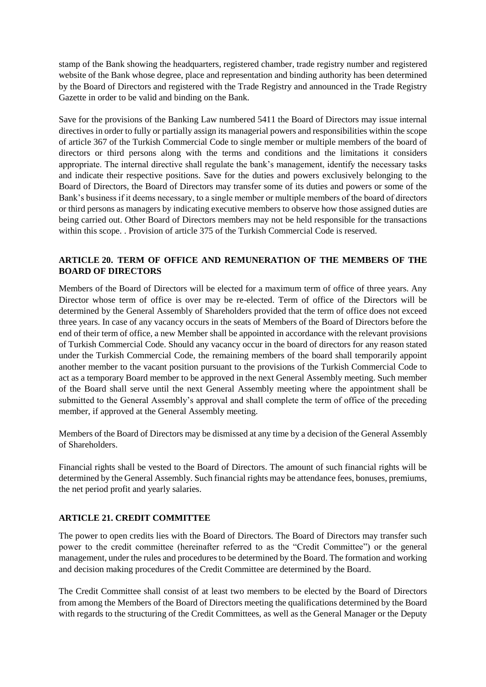stamp of the Bank showing the headquarters, registered chamber, trade registry number and registered website of the Bank whose degree, place and representation and binding authority has been determined by the Board of Directors and registered with the Trade Registry and announced in the Trade Registry Gazette in order to be valid and binding on the Bank.

Save for the provisions of the Banking Law numbered 5411 the Board of Directors may issue internal directives in order to fully or partially assign its managerial powers and responsibilities within the scope of article 367 of the Turkish Commercial Code to single member or multiple members of the board of directors or third persons along with the terms and conditions and the limitations it considers appropriate. The internal directive shall regulate the bank's management, identify the necessary tasks and indicate their respective positions. Save for the duties and powers exclusively belonging to the Board of Directors, the Board of Directors may transfer some of its duties and powers or some of the Bank's business if it deems necessary, to a single member or multiple members of the board of directors or third persons as managers by indicating executive members to observe how those assigned duties are being carried out. Other Board of Directors members may not be held responsible for the transactions within this scope. . Provision of article 375 of the Turkish Commercial Code is reserved.

# **ARTICLE 20. TERM OF OFFICE AND REMUNERATION OF THE MEMBERS OF THE BOARD OF DIRECTORS**

Members of the Board of Directors will be elected for a maximum term of office of three years. Any Director whose term of office is over may be re-elected. Term of office of the Directors will be determined by the General Assembly of Shareholders provided that the term of office does not exceed three years. In case of any vacancy occurs in the seats of Members of the Board of Directors before the end of their term of office, a new Member shall be appointed in accordance with the relevant provisions of Turkish Commercial Code. Should any vacancy occur in the board of directors for any reason stated under the Turkish Commercial Code, the remaining members of the board shall temporarily appoint another member to the vacant position pursuant to the provisions of the Turkish Commercial Code to act as a temporary Board member to be approved in the next General Assembly meeting. Such member of the Board shall serve until the next General Assembly meeting where the appointment shall be submitted to the General Assembly's approval and shall complete the term of office of the preceding member, if approved at the General Assembly meeting.

Members of the Board of Directors may be dismissed at any time by a decision of the General Assembly of Shareholders.

Financial rights shall be vested to the Board of Directors. The amount of such financial rights will be determined by the General Assembly. Such financial rights may be attendance fees, bonuses, premiums, the net period profit and yearly salaries.

# **ARTICLE 21. CREDIT COMMITTEE**

The power to open credits lies with the Board of Directors. The Board of Directors may transfer such power to the credit committee (hereinafter referred to as the "Credit Committee") or the general management, under the rules and procedures to be determined by the Board. The formation and working and decision making procedures of the Credit Committee are determined by the Board.

The Credit Committee shall consist of at least two members to be elected by the Board of Directors from among the Members of the Board of Directors meeting the qualifications determined by the Board with regards to the structuring of the Credit Committees, as well as the General Manager or the Deputy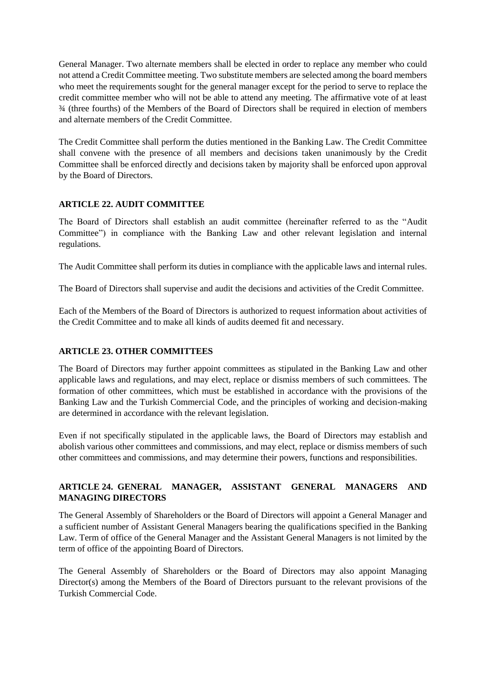General Manager. Two alternate members shall be elected in order to replace any member who could not attend a Credit Committee meeting. Two substitute members are selected among the board members who meet the requirements sought for the general manager except for the period to serve to replace the credit committee member who will not be able to attend any meeting. The affirmative vote of at least ¾ (three fourths) of the Members of the Board of Directors shall be required in election of members and alternate members of the Credit Committee.

The Credit Committee shall perform the duties mentioned in the Banking Law. The Credit Committee shall convene with the presence of all members and decisions taken unanimously by the Credit Committee shall be enforced directly and decisions taken by majority shall be enforced upon approval by the Board of Directors.

# **ARTICLE 22. AUDIT COMMITTEE**

The Board of Directors shall establish an audit committee (hereinafter referred to as the "Audit Committee") in compliance with the Banking Law and other relevant legislation and internal regulations.

The Audit Committee shall perform its duties in compliance with the applicable laws and internal rules.

The Board of Directors shall supervise and audit the decisions and activities of the Credit Committee.

Each of the Members of the Board of Directors is authorized to request information about activities of the Credit Committee and to make all kinds of audits deemed fit and necessary.

# **ARTICLE 23. OTHER COMMITTEES**

The Board of Directors may further appoint committees as stipulated in the Banking Law and other applicable laws and regulations, and may elect, replace or dismiss members of such committees. The formation of other committees, which must be established in accordance with the provisions of the Banking Law and the Turkish Commercial Code, and the principles of working and decision-making are determined in accordance with the relevant legislation.

Even if not specifically stipulated in the applicable laws, the Board of Directors may establish and abolish various other committees and commissions, and may elect, replace or dismiss members of such other committees and commissions, and may determine their powers, functions and responsibilities.

# **ARTICLE 24. GENERAL MANAGER, ASSISTANT GENERAL MANAGERS AND MANAGING DIRECTORS**

The General Assembly of Shareholders or the Board of Directors will appoint a General Manager and a sufficient number of Assistant General Managers bearing the qualifications specified in the Banking Law. Term of office of the General Manager and the Assistant General Managers is not limited by the term of office of the appointing Board of Directors.

The General Assembly of Shareholders or the Board of Directors may also appoint Managing Director(s) among the Members of the Board of Directors pursuant to the relevant provisions of the Turkish Commercial Code.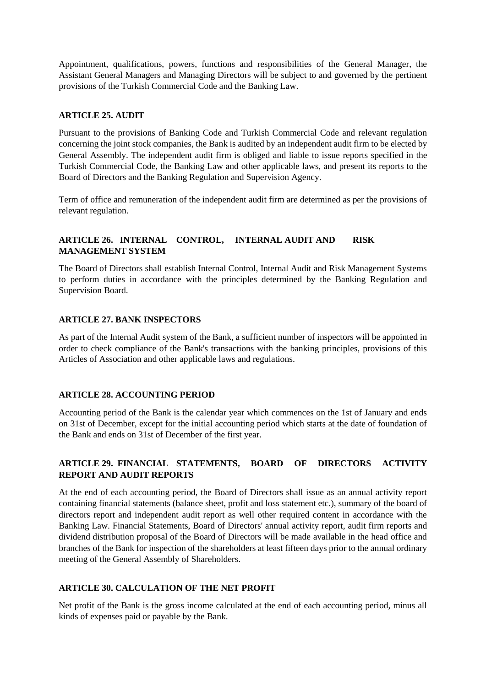Appointment, qualifications, powers, functions and responsibilities of the General Manager, the Assistant General Managers and Managing Directors will be subject to and governed by the pertinent provisions of the Turkish Commercial Code and the Banking Law.

## **ARTICLE 25. AUDIT**

Pursuant to the provisions of Banking Code and Turkish Commercial Code and relevant regulation concerning the joint stock companies, the Bank is audited by an independent audit firm to be elected by General Assembly. The independent audit firm is obliged and liable to issue reports specified in the Turkish Commercial Code, the Banking Law and other applicable laws, and present its reports to the Board of Directors and the Banking Regulation and Supervision Agency.

Term of office and remuneration of the independent audit firm are determined as per the provisions of relevant regulation.

# **ARTICLE 26. INTERNAL CONTROL, INTERNAL AUDIT AND RISK MANAGEMENT SYSTEM**

The Board of Directors shall establish Internal Control, Internal Audit and Risk Management Systems to perform duties in accordance with the principles determined by the Banking Regulation and Supervision Board.

### **ARTICLE 27. BANK INSPECTORS**

As part of the Internal Audit system of the Bank, a sufficient number of inspectors will be appointed in order to check compliance of the Bank's transactions with the banking principles, provisions of this Articles of Association and other applicable laws and regulations.

### **ARTICLE 28. ACCOUNTING PERIOD**

Accounting period of the Bank is the calendar year which commences on the 1st of January and ends on 31st of December, except for the initial accounting period which starts at the date of foundation of the Bank and ends on 31st of December of the first year.

# **ARTICLE 29. FINANCIAL STATEMENTS, BOARD OF DIRECTORS ACTIVITY REPORT AND AUDIT REPORTS**

At the end of each accounting period, the Board of Directors shall issue as an annual activity report containing financial statements (balance sheet, profit and loss statement etc.), summary of the board of directors report and independent audit report as well other required content in accordance with the Banking Law. Financial Statements, Board of Directors' annual activity report, audit firm reports and dividend distribution proposal of the Board of Directors will be made available in the head office and branches of the Bank for inspection of the shareholders at least fifteen days prior to the annual ordinary meeting of the General Assembly of Shareholders.

# **ARTICLE 30. CALCULATION OF THE NET PROFIT**

Net profit of the Bank is the gross income calculated at the end of each accounting period, minus all kinds of expenses paid or payable by the Bank.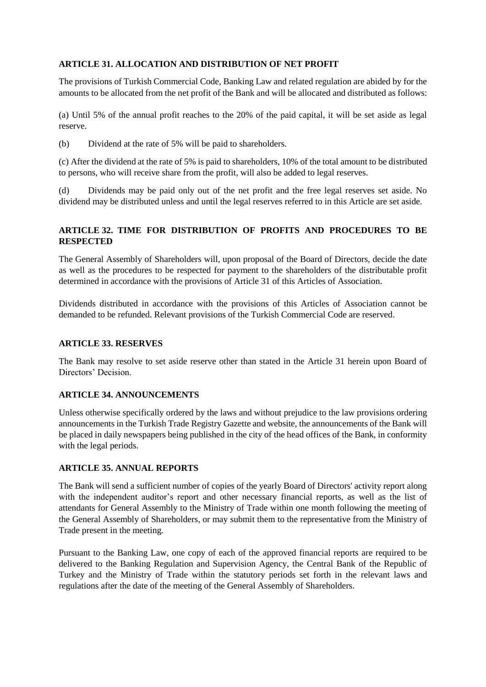# **ARTICLE 31. ALLOCATION AND DISTRIBUTION OF NET PROFIT**

The provisions of Turkish Commercial Code, Banking Law and related regulation are abided by for the amounts to be allocated from the net profit of the Bank and will be allocated and distributed as follows:

(a) Until 5% of the annual profit reaches to the 20% of the paid capital, it will be set aside as legal reserve.

(b) Dividend at the rate of 5% will be paid to shareholders.

(c) After the dividend at the rate of 5% is paid to shareholders, 10% of the total amount to be distributed to persons, who will receive share from the profit, will also be added to legal reserves.

(d) Dividends may be paid only out of the net profit and the free legal reserves set aside. No dividend may be distributed unless and until the legal reserves referred to in this Article are set aside.

# **ARTICLE 32. TIME FOR DISTRIBUTION OF PROFITS AND PROCEDURES TO BE RESPECTED**

The General Assembly of Shareholders will, upon proposal of the Board of Directors, decide the date as well as the procedures to be respected for payment to the shareholders of the distributable profit determined in accordance with the provisions of Article 31 of this Articles of Association.

Dividends distributed in accordance with the provisions of this Articles of Association cannot be demanded to be refunded. Relevant provisions of the Turkish Commercial Code are reserved.

## **ARTICLE 33. RESERVES**

The Bank may resolve to set aside reserve other than stated in the Article 31 herein upon Board of Directors' Decision.

# **ARTICLE 34. ANNOUNCEMENTS**

Unless otherwise specifically ordered by the laws and without prejudice to the law provisions ordering announcements in the Turkish Trade Registry Gazette and website, the announcements of the Bank will be placed in daily newspapers being published in the city of the head offices of the Bank, in conformity with the legal periods.

## **ARTICLE 35. ANNUAL REPORTS**

The Bank will send a sufficient number of copies of the yearly Board of Directors' activity report along with the independent auditor's report and other necessary financial reports, as well as the list of attendants for General Assembly to the Ministry of Trade within one month following the meeting of the General Assembly of Shareholders, or may submit them to the representative from the Ministry of Trade present in the meeting.

Pursuant to the Banking Law, one copy of each of the approved financial reports are required to be delivered to the Banking Regulation and Supervision Agency, the Central Bank of the Republic of Turkey and the Ministry of Trade within the statutory periods set forth in the relevant laws and regulations after the date of the meeting of the General Assembly of Shareholders.